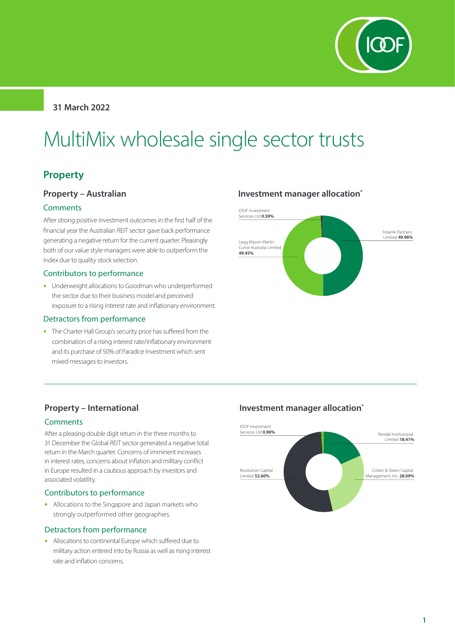

## **31 March 2022**

# MultiMix wholesale single sector trusts

# **Property**

## **Property – Australian**

#### **Comments**

After strong positive investment outcomes in the first half of the financial year the Australian REIT sector gave back performance generating a negative return for the current quarter. Pleasingly both of our value style managers were able to outperform the index due to quality stock selection.

#### Contributors to performance

• Underweight allocations to Goodman who underperformed the sector due to their business model and perceived exposure to a rising interest rate and inflationary environment.

#### Detractors from performance

• The Charter Hall Group's security price has suffered from the combination of a rising interest rate/inflationary environment and its purchase of 50% of Paradice Investment which sent mixed messages to investors.

## **Investment manager allocation\***



## **Property – International**

#### **Comments**

After a pleasing double digit return in the three months to 31 December the Global REIT sector generated a negative total return in the March quarter. Concerns of imminent increases in interest rates, concerns about inflation and military conflict in Europe resulted in a cautious approach by investors and associated volatility.

#### Contributors to performance

• Allocations to the Singapore and Japan markets who strongly outperformed other geographies.

#### Detractors from performance

• Allocations to continental Europe which suffered due to military action entered into by Russia as well as rising interest rate and inflation concerns.

## **Investment manager allocation\***